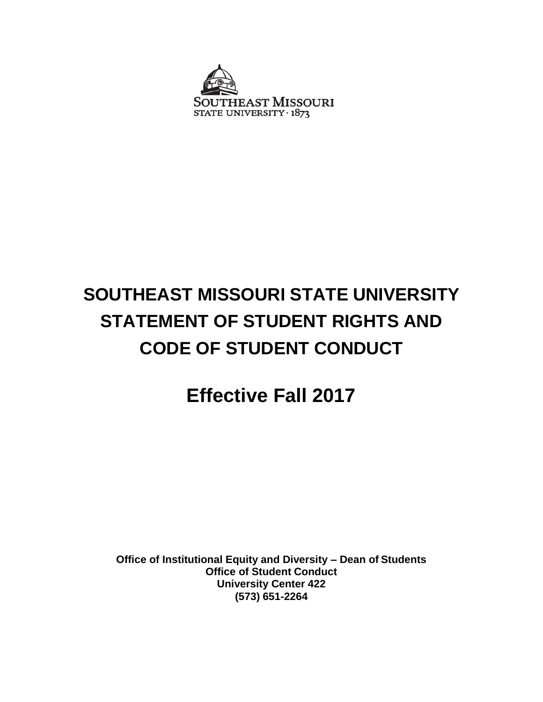

# **SOUTHEAST MISSOURI STATE UNIVERSITY STATEMENT OF STUDENT RIGHTS AND CODE OF STUDENT CONDUCT**

# **Effective Fall 2017**

**Office of Institutional Equity and Diversity – Dean of Students Office of Student Conduct University Center 422 (573) 651-2264**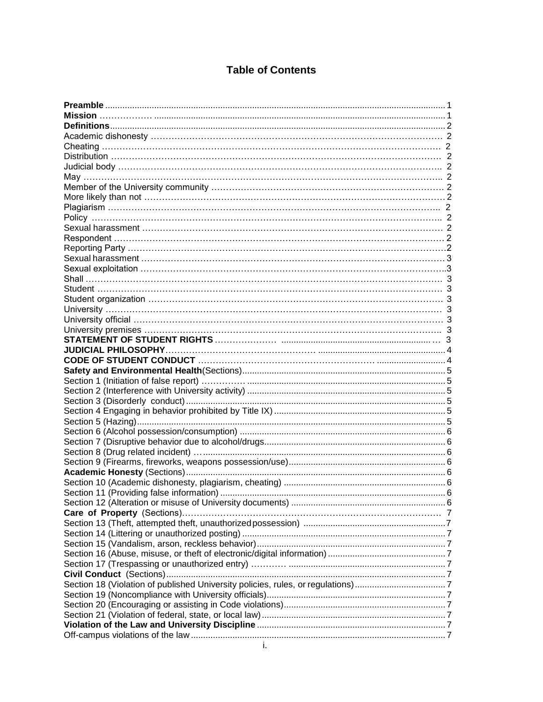# **Table of Contents**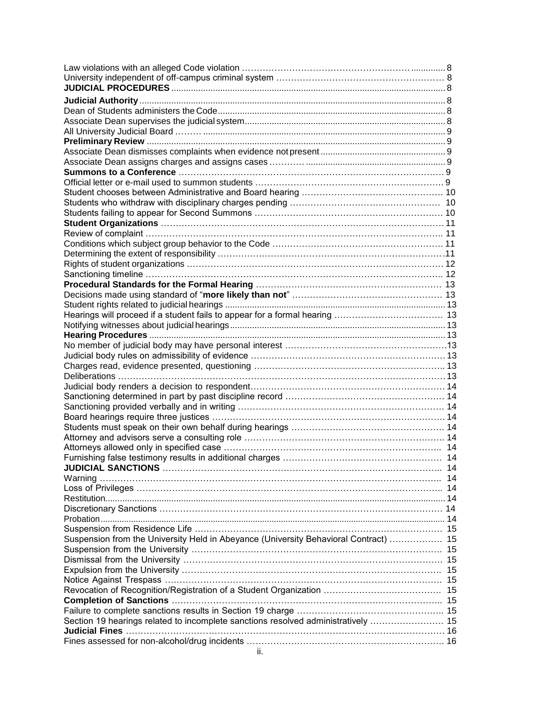| Furnishing false testimony results in additional charges                             | 14 |
|--------------------------------------------------------------------------------------|----|
|                                                                                      |    |
|                                                                                      |    |
|                                                                                      |    |
|                                                                                      |    |
|                                                                                      |    |
|                                                                                      |    |
|                                                                                      |    |
|                                                                                      |    |
| Suspension from the University Held in Abeyance (University Behavioral Contract)  15 |    |
|                                                                                      |    |
|                                                                                      |    |
|                                                                                      |    |
|                                                                                      |    |
|                                                                                      |    |
|                                                                                      |    |
|                                                                                      |    |
| Section 19 hearings related to incomplete sanctions resolved administratively  15    |    |
|                                                                                      |    |
|                                                                                      |    |
| ii.                                                                                  |    |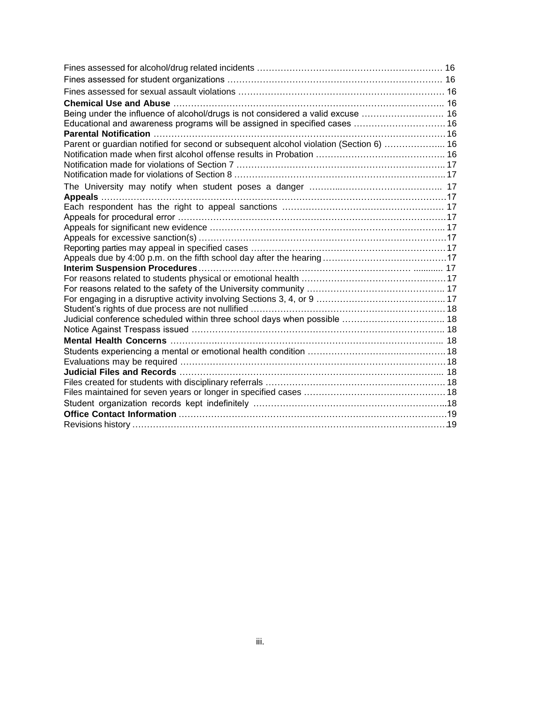| Being under the influence of alcohol/drugs is not considered a valid excuse  16<br>Educational and awareness programs will be assigned in specified cases  16<br>Parent or guardian notified for second or subsequent alcohol violation (Section 6)  16 |
|---------------------------------------------------------------------------------------------------------------------------------------------------------------------------------------------------------------------------------------------------------|
|                                                                                                                                                                                                                                                         |
|                                                                                                                                                                                                                                                         |
|                                                                                                                                                                                                                                                         |
|                                                                                                                                                                                                                                                         |
|                                                                                                                                                                                                                                                         |
|                                                                                                                                                                                                                                                         |
|                                                                                                                                                                                                                                                         |
|                                                                                                                                                                                                                                                         |
|                                                                                                                                                                                                                                                         |
|                                                                                                                                                                                                                                                         |
|                                                                                                                                                                                                                                                         |
|                                                                                                                                                                                                                                                         |
|                                                                                                                                                                                                                                                         |
|                                                                                                                                                                                                                                                         |
|                                                                                                                                                                                                                                                         |
|                                                                                                                                                                                                                                                         |
|                                                                                                                                                                                                                                                         |
|                                                                                                                                                                                                                                                         |
|                                                                                                                                                                                                                                                         |
|                                                                                                                                                                                                                                                         |
|                                                                                                                                                                                                                                                         |
|                                                                                                                                                                                                                                                         |
| Judicial conference scheduled within three school days when possible  18                                                                                                                                                                                |
|                                                                                                                                                                                                                                                         |
|                                                                                                                                                                                                                                                         |
|                                                                                                                                                                                                                                                         |
|                                                                                                                                                                                                                                                         |
|                                                                                                                                                                                                                                                         |
|                                                                                                                                                                                                                                                         |
|                                                                                                                                                                                                                                                         |
|                                                                                                                                                                                                                                                         |
|                                                                                                                                                                                                                                                         |
|                                                                                                                                                                                                                                                         |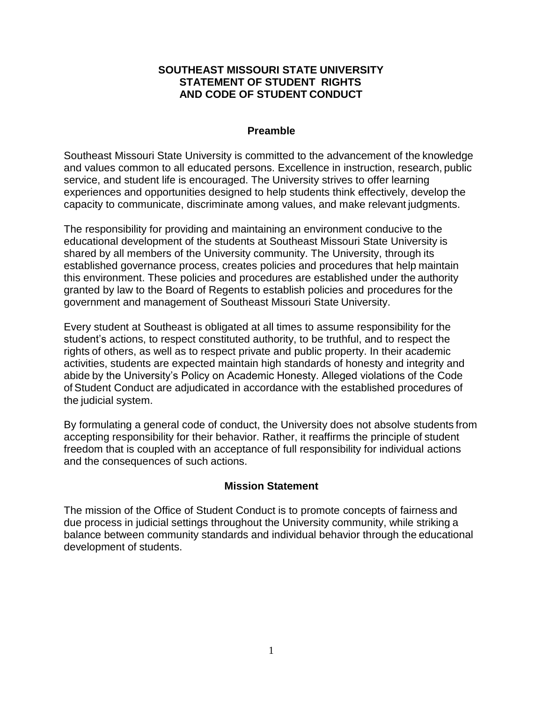#### **SOUTHEAST MISSOURI STATE UNIVERSITY STATEMENT OF STUDENT RIGHTS AND CODE OF STUDENT CONDUCT**

#### **Preamble**

Southeast Missouri State University is committed to the advancement of the knowledge and values common to all educated persons. Excellence in instruction, research, public service, and student life is encouraged. The University strives to offer learning experiences and opportunities designed to help students think effectively, develop the capacity to communicate, discriminate among values, and make relevant judgments.

The responsibility for providing and maintaining an environment conducive to the educational development of the students at Southeast Missouri State University is shared by all members of the University community. The University, through its established governance process, creates policies and procedures that help maintain this environment. These policies and procedures are established under the authority granted by law to the Board of Regents to establish policies and procedures for the government and management of Southeast Missouri State University.

Every student at Southeast is obligated at all times to assume responsibility for the student's actions, to respect constituted authority, to be truthful, and to respect the rights of others, as well as to respect private and public property. In their academic activities, students are expected maintain high standards of honesty and integrity and abide by the University's Policy on Academic Honesty. Alleged violations of the Code of Student Conduct are adjudicated in accordance with the established procedures of the judicial system.

By formulating a general code of conduct, the University does not absolve students from accepting responsibility for their behavior. Rather, it reaffirms the principle of student freedom that is coupled with an acceptance of full responsibility for individual actions and the consequences of such actions.

#### **Mission Statement**

The mission of the Office of Student Conduct is to promote concepts of fairness and due process in judicial settings throughout the University community, while striking a balance between community standards and individual behavior through the educational development of students.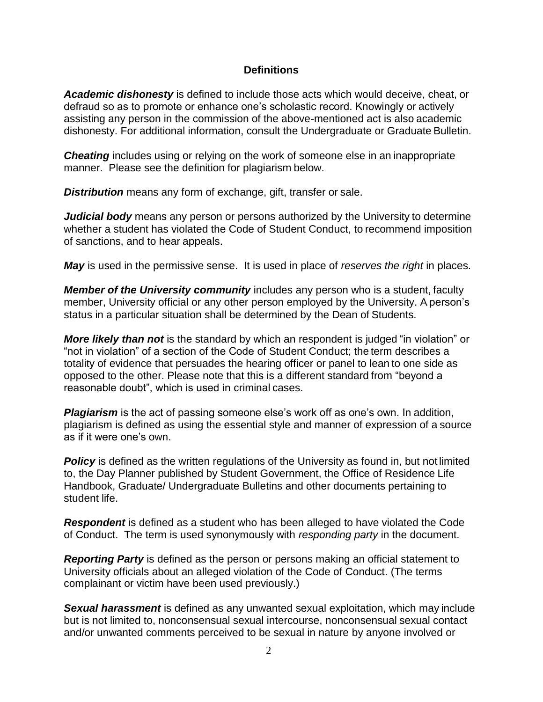#### **Definitions**

*Academic dishonesty* is defined to include those acts which would deceive, cheat, or defraud so as to promote or enhance one's scholastic record. Knowingly or actively assisting any person in the commission of the above-mentioned act is also academic dishonesty. For additional information, consult the Undergraduate or Graduate Bulletin.

**Cheating** includes using or relying on the work of someone else in an inappropriate manner. Please see the definition for plagiarism below.

*Distribution* means any form of exchange, gift, transfer or sale.

*Judicial body* means any person or persons authorized by the University to determine whether a student has violated the Code of Student Conduct, to recommend imposition of sanctions, and to hear appeals.

*May* is used in the permissive sense. It is used in place of *reserves the right* in places.

*Member of the University community* includes any person who is a student, faculty member, University official or any other person employed by the University. A person's status in a particular situation shall be determined by the Dean of Students.

*More likely than not* is the standard by which an respondent is judged "in violation" or "not in violation" of a section of the Code of Student Conduct; the term describes a totality of evidence that persuades the hearing officer or panel to lean to one side as opposed to the other. Please note that this is a different standard from "beyond a reasonable doubt", which is used in criminal cases.

*Plagiarism* is the act of passing someone else's work off as one's own. In addition, plagiarism is defined as using the essential style and manner of expression of a source as if it were one's own.

**Policy** is defined as the written regulations of the University as found in, but not limited to, the Day Planner published by Student Government, the Office of Residence Life Handbook, Graduate/ Undergraduate Bulletins and other documents pertaining to student life.

**Respondent** is defined as a student who has been alleged to have violated the Code of Conduct. The term is used synonymously with *responding party* in the document.

*Reporting Party* is defined as the person or persons making an official statement to University officials about an alleged violation of the Code of Conduct. (The terms complainant or victim have been used previously.)

*Sexual harassment* is defined as any unwanted sexual exploitation, which may include but is not limited to, nonconsensual sexual intercourse, nonconsensual sexual contact and/or unwanted comments perceived to be sexual in nature by anyone involved or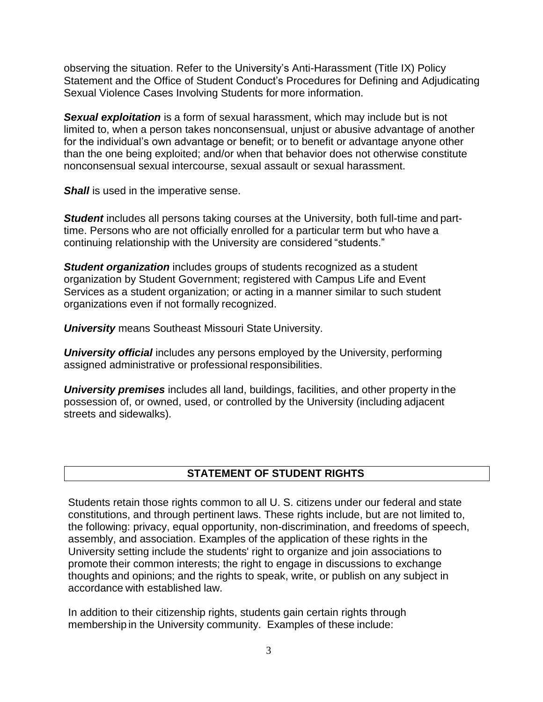observing the situation. Refer to the University's Anti-Harassment (Title IX) Policy Statement and the Office of Student Conduct's Procedures for Defining and Adjudicating Sexual Violence Cases Involving Students for more information.

*Sexual exploitation* is a form of sexual harassment, which may include but is not limited to, when a person takes nonconsensual, unjust or abusive advantage of another for the individual's own advantage or benefit; or to benefit or advantage anyone other than the one being exploited; and/or when that behavior does not otherwise constitute nonconsensual sexual intercourse, sexual assault or sexual harassment.

*Shall* is used in the imperative sense.

**Student** includes all persons taking courses at the University, both full-time and parttime. Persons who are not officially enrolled for a particular term but who have a continuing relationship with the University are considered "students."

**Student organization** includes groups of students recognized as a student organization by Student Government; registered with Campus Life and Event Services as a student organization; or acting in a manner similar to such student organizations even if not formally recognized.

*University* means Southeast Missouri State University.

*University official* includes any persons employed by the University, performing assigned administrative or professional responsibilities.

*University premises* includes all land, buildings, facilities, and other property in the possession of, or owned, used, or controlled by the University (including adjacent streets and sidewalks).

# **STATEMENT OF STUDENT RIGHTS**

Students retain those rights common to all U. S. citizens under our federal and state constitutions, and through pertinent laws. These rights include, but are not limited to, the following: privacy, equal opportunity, non-discrimination, and freedoms of speech, assembly, and association. Examples of the application of these rights in the University setting include the students' right to organize and join associations to promote their common interests; the right to engage in discussions to exchange thoughts and opinions; and the rights to speak, write, or publish on any subject in accordance with established law.

In addition to their citizenship rights, students gain certain rights through membership in the University community. Examples of these include: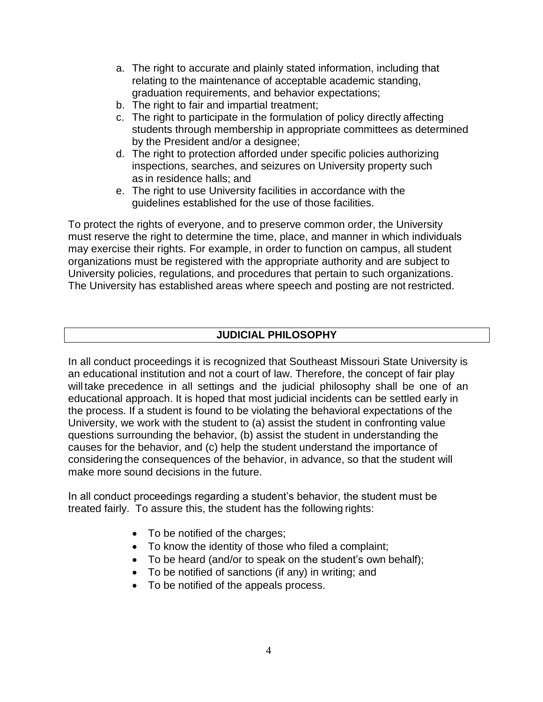- a. The right to accurate and plainly stated information, including that relating to the maintenance of acceptable academic standing, graduation requirements, and behavior expectations;
- b. The right to fair and impartial treatment;
- c. The right to participate in the formulation of policy directly affecting students through membership in appropriate committees as determined by the President and/or a designee;
- d. The right to protection afforded under specific policies authorizing inspections, searches, and seizures on University property such as in residence halls; and
- e. The right to use University facilities in accordance with the guidelines established for the use of those facilities.

To protect the rights of everyone, and to preserve common order, the University must reserve the right to determine the time, place, and manner in which individuals may exercise their rights. For example, in order to function on campus, all student organizations must be registered with the appropriate authority and are subject to University policies, regulations, and procedures that pertain to such organizations. The University has established areas where speech and posting are not restricted.

# **JUDICIAL PHILOSOPHY**

In all conduct proceedings it is recognized that Southeast Missouri State University is an educational institution and not a court of law. Therefore, the concept of fair play will take precedence in all settings and the judicial philosophy shall be one of an educational approach. It is hoped that most judicial incidents can be settled early in the process. If a student is found to be violating the behavioral expectations of the University, we work with the student to (a) assist the student in confronting value questions surrounding the behavior, (b) assist the student in understanding the causes for the behavior, and (c) help the student understand the importance of considering the consequences of the behavior, in advance, so that the student will make more sound decisions in the future.

In all conduct proceedings regarding a student's behavior, the student must be treated fairly. To assure this, the student has the following rights:

- To be notified of the charges;
- To know the identity of those who filed a complaint;
- To be heard (and/or to speak on the student's own behalf);
- To be notified of sanctions (if any) in writing; and
- To be notified of the appeals process.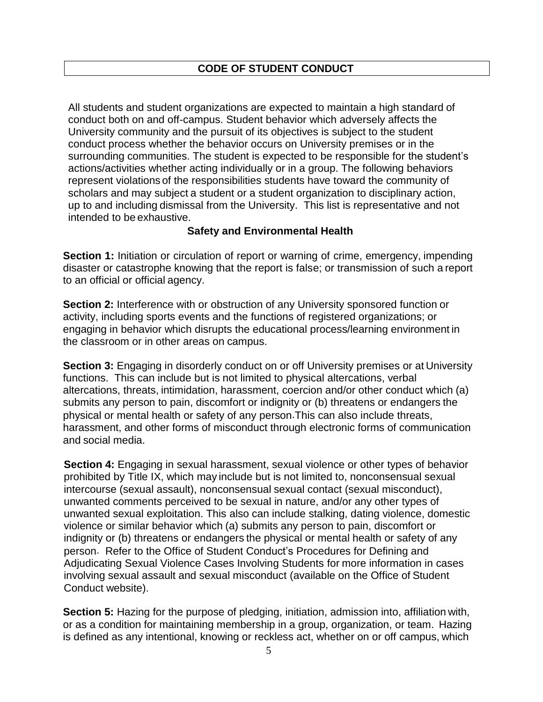All students and student organizations are expected to maintain a high standard of conduct both on and off-campus. Student behavior which adversely affects the University community and the pursuit of its objectives is subject to the student conduct process whether the behavior occurs on University premises or in the surrounding communities. The student is expected to be responsible for the student's actions/activities whether acting individually or in a group. The following behaviors represent violations of the responsibilities students have toward the community of scholars and may subject a student or a student organization to disciplinary action, up to and including dismissal from the University. This list is representative and not intended to be exhaustive.

#### **Safety and Environmental Health**

**Section 1:** Initiation or circulation of report or warning of crime, emergency, impending disaster or catastrophe knowing that the report is false; or transmission of such a report to an official or official agency.

**Section 2:** Interference with or obstruction of any University sponsored function or activity, including sports events and the functions of registered organizations; or engaging in behavior which disrupts the educational process/learning environment in the classroom or in other areas on campus.

**Section 3:** Engaging in disorderly conduct on or off University premises or at University functions. This can include but is not limited to physical altercations, verbal altercations, threats, intimidation, harassment, coercion and/or other conduct which (a) submits any person to pain, discomfort or indignity or (b) threatens or endangers the physical or mental health or safety of any person.This can also include threats, harassment, and other forms of misconduct through electronic forms of communication and social media.

**Section 4:** Engaging in sexual harassment, sexual violence or other types of behavior prohibited by Title IX, which may include but is not limited to, nonconsensual sexual intercourse (sexual assault), nonconsensual sexual contact (sexual misconduct), unwanted comments perceived to be sexual in nature, and/or any other types of unwanted sexual exploitation. This also can include stalking, dating violence, domestic violence or similar behavior which (a) submits any person to pain, discomfort or indignity or (b) threatens or endangers the physical or mental health or safety of any person. Refer to the Office of Student Conduct's Procedures for Defining and Adjudicating Sexual Violence Cases Involving Students for more information in cases involving sexual assault and sexual misconduct (available on the Office of Student Conduct website).

**Section 5:** Hazing for the purpose of pledging, initiation, admission into, affiliation with, or as a condition for maintaining membership in a group, organization, or team. Hazing is defined as any intentional, knowing or reckless act, whether on or off campus, which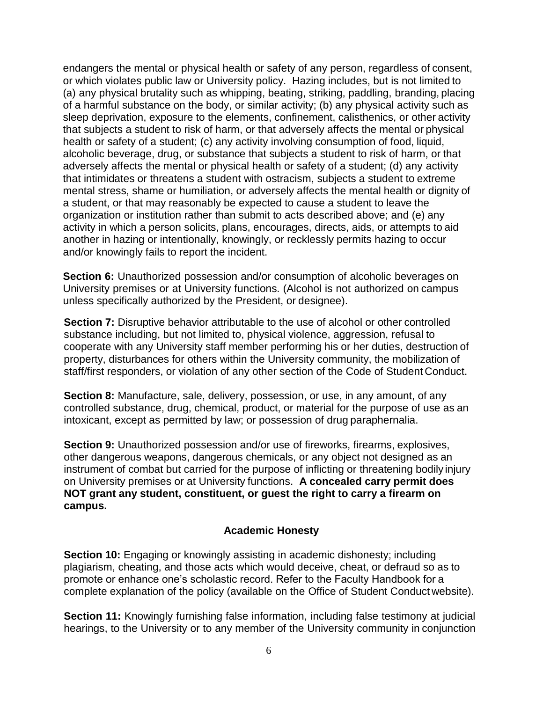endangers the mental or physical health or safety of any person, regardless of consent, or which violates public law or University policy. Hazing includes, but is not limited to (a) any physical brutality such as whipping, beating, striking, paddling, branding, placing of a harmful substance on the body, or similar activity; (b) any physical activity such as sleep deprivation, exposure to the elements, confinement, calisthenics, or other activity that subjects a student to risk of harm, or that adversely affects the mental or physical health or safety of a student; (c) any activity involving consumption of food, liquid, alcoholic beverage, drug, or substance that subjects a student to risk of harm, or that adversely affects the mental or physical health or safety of a student; (d) any activity that intimidates or threatens a student with ostracism, subjects a student to extreme mental stress, shame or humiliation, or adversely affects the mental health or dignity of a student, or that may reasonably be expected to cause a student to leave the organization or institution rather than submit to acts described above; and (e) any activity in which a person solicits, plans, encourages, directs, aids, or attempts to aid another in hazing or intentionally, knowingly, or recklessly permits hazing to occur and/or knowingly fails to report the incident.

**Section 6:** Unauthorized possession and/or consumption of alcoholic beverages on University premises or at University functions. (Alcohol is not authorized on campus unless specifically authorized by the President, or designee).

**Section 7:** Disruptive behavior attributable to the use of alcohol or other controlled substance including, but not limited to, physical violence, aggression, refusal to cooperate with any University staff member performing his or her duties, destruction of property, disturbances for others within the University community, the mobilization of staff/first responders, or violation of any other section of the Code of Student Conduct.

**Section 8:** Manufacture, sale, delivery, possession, or use, in any amount, of any controlled substance, drug, chemical, product, or material for the purpose of use as an intoxicant, except as permitted by law; or possession of drug paraphernalia.

**Section 9:** Unauthorized possession and/or use of fireworks, firearms, explosives, other dangerous weapons, dangerous chemicals, or any object not designed as an instrument of combat but carried for the purpose of inflicting or threatening bodily injury on University premises or at University functions. **A concealed carry permit does NOT grant any student, constituent, or guest the right to carry a firearm on campus.**

#### **Academic Honesty**

**Section 10:** Engaging or knowingly assisting in academic dishonesty; including plagiarism, cheating, and those acts which would deceive, cheat, or defraud so as to promote or enhance one's scholastic record. Refer to the Faculty Handbook for a complete explanation of the policy (available on the Office of Student Conduct website).

**Section 11:** Knowingly furnishing false information, including false testimony at judicial hearings, to the University or to any member of the University community in conjunction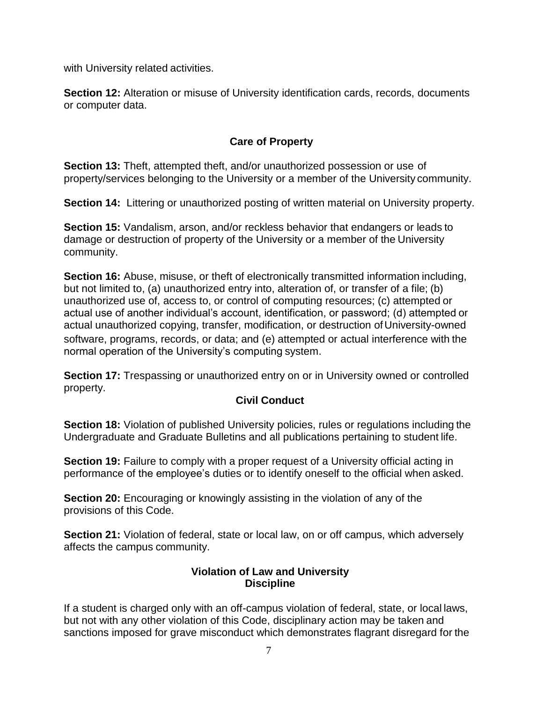with University related activities.

**Section 12:** Alteration or misuse of University identification cards, records, documents or computer data.

# **Care of Property**

**Section 13:** Theft, attempted theft, and/or unauthorized possession or use of property/services belonging to the University or a member of the University community.

**Section 14:** Littering or unauthorized posting of written material on University property.

**Section 15:** Vandalism, arson, and/or reckless behavior that endangers or leads to damage or destruction of property of the University or a member of the University community.

**Section 16:** Abuse, misuse, or theft of electronically transmitted information including, but not limited to, (a) unauthorized entry into, alteration of, or transfer of a file; (b) unauthorized use of, access to, or control of computing resources; (c) attempted or actual use of another individual's account, identification, or password; (d) attempted or actual unauthorized copying, transfer, modification, or destruction of University-owned software, programs, records, or data; and (e) attempted or actual interference with the normal operation of the University's computing system.

**Section 17:** Trespassing or unauthorized entry on or in University owned or controlled property.

# **Civil Conduct**

**Section 18:** Violation of published University policies, rules or regulations including the Undergraduate and Graduate Bulletins and all publications pertaining to student life.

**Section 19:** Failure to comply with a proper request of a University official acting in performance of the employee's duties or to identify oneself to the official when asked.

**Section 20:** Encouraging or knowingly assisting in the violation of any of the provisions of this Code.

**Section 21:** Violation of federal, state or local law, on or off campus, which adversely affects the campus community.

#### **Violation of Law and University Discipline**

If a student is charged only with an off-campus violation of federal, state, or local laws, but not with any other violation of this Code, disciplinary action may be taken and sanctions imposed for grave misconduct which demonstrates flagrant disregard for the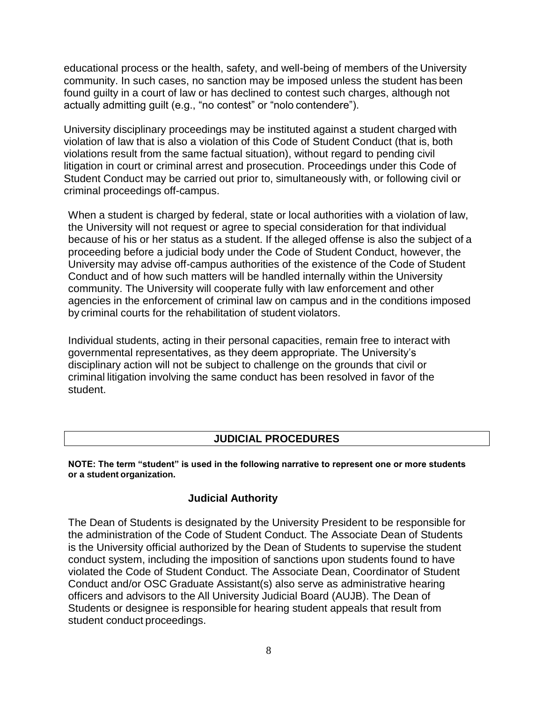educational process or the health, safety, and well-being of members of the University community. In such cases, no sanction may be imposed unless the student has been found guilty in a court of law or has declined to contest such charges, although not actually admitting guilt (e.g., "no contest" or "nolo contendere").

University disciplinary proceedings may be instituted against a student charged with violation of law that is also a violation of this Code of Student Conduct (that is, both violations result from the same factual situation), without regard to pending civil litigation in court or criminal arrest and prosecution. Proceedings under this Code of Student Conduct may be carried out prior to, simultaneously with, or following civil or criminal proceedings off-campus.

When a student is charged by federal, state or local authorities with a violation of law, the University will not request or agree to special consideration for that individual because of his or her status as a student. If the alleged offense is also the subject of a proceeding before a judicial body under the Code of Student Conduct, however, the University may advise off-campus authorities of the existence of the Code of Student Conduct and of how such matters will be handled internally within the University community. The University will cooperate fully with law enforcement and other agencies in the enforcement of criminal law on campus and in the conditions imposed by criminal courts for the rehabilitation of student violators.

Individual students, acting in their personal capacities, remain free to interact with governmental representatives, as they deem appropriate. The University's disciplinary action will not be subject to challenge on the grounds that civil or criminal litigation involving the same conduct has been resolved in favor of the student.

#### **JUDICIAL PROCEDURES**

**NOTE: The term "student" is used in the following narrative to represent one or more students or a student organization.**

#### **Judicial Authority**

<span id="page-11-0"></span>The Dean of Students is designated by the University President to be responsible for the administration of the Code of Student Conduct. The Associate Dean of Students is the University official authorized by the Dean of Students to supervise the student conduct system, including the imposition of sanctions upon students found to have violated the Code of Student Conduct. The Associate Dean, Coordinator of Student Conduct and/or OSC Graduate Assistant(s) also serve as administrative hearing officers and advisors to the All University Judicial Board (AUJB). The Dean of Students or designee is responsible for hearing student appeals that result from student conduct proceedings.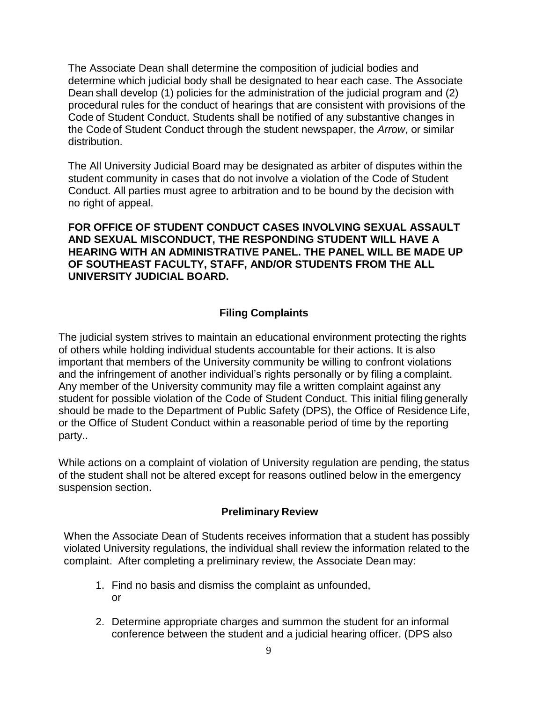The Associate Dean shall determine the composition of judicial bodies and determine which judicial body shall be designated to hear each case. The Associate Dean shall develop (1) policies for the administration of the judicial program and (2) procedural rules for the conduct of hearings that are consistent with provisions of the Code of Student Conduct. Students shall be notified of any substantive changes in the Code of Student Conduct through the student newspaper, the *Arrow*, or similar distribution.

The All University Judicial Board may be designated as arbiter of disputes within the student community in cases that do not involve a violation of the Code of Student Conduct. All parties must agree to arbitration and to be bound by the decision with no right of appeal.

**FOR OFFICE OF STUDENT CONDUCT CASES INVOLVING SEXUAL ASSAULT AND SEXUAL MISCONDUCT, THE RESPONDING STUDENT WILL HAVE A HEARING WITH AN ADMINISTRATIVE PANEL. THE PANEL WILL BE MADE UP OF SOUTHEAST FACULTY, STAFF, AND/OR STUDENTS FROM THE ALL UNIVERSITY JUDICIAL BOARD.**

# **Filing Complaints**

The judicial system strives to maintain an educational environment protecting the rights of others while holding individual students accountable for their actions. It is also important that members of the University community be willing to confront violations and the infringement of another individual's rights personally or by filing a complaint. Any member of the University community may file a written complaint against any student for possible violation of the Code of Student Conduct. This initial filing generally should be made to the Department of Public Safety (DPS), the Office of Residence Life, or the Office of Student Conduct within a reasonable period of time by the reporting party..

While actions on a complaint of violation of University regulation are pending, the status of the student shall not be altered except for reasons outlined below in the emergency suspension section.

#### **Preliminary Review**

<span id="page-12-0"></span>When the Associate Dean of Students receives information that a student has possibly violated University regulations, the individual shall review the information related to the complaint. After completing a preliminary review, the Associate Dean may:

- 1. Find no basis and dismiss the complaint as unfounded, or
- 2. Determine appropriate charges and summon the student for an informal conference between the student and a judicial hearing officer. (DPS also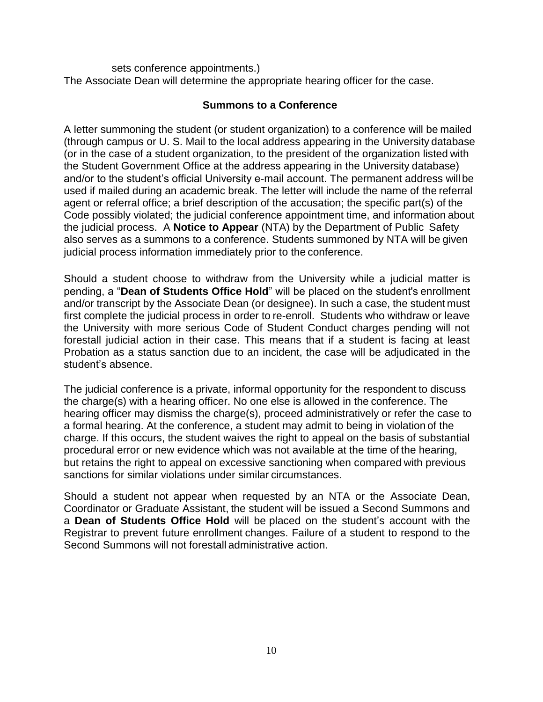sets conference appointments.) The Associate Dean will determine the appropriate hearing officer for the case.

#### **Summons to a Conference**

A letter summoning the student (or student organization) to a conference will be mailed (through campus or U. S. Mail to the local address appearing in the University database (or in the case of a student organization, to the president of the organization listed with the Student Government Office at the address appearing in the University database) and/or to the student's official University e-mail account. The permanent address will be used if mailed during an academic break. The letter will include the name of the referral agent or referral office; a brief description of the accusation; the specific part(s) of the Code possibly violated; the judicial conference appointment time, and information about the judicial process. A **Notice to Appear** (NTA) by the Department of Public Safety also serves as a summons to a conference. Students summoned by NTA will be given judicial process information immediately prior to the conference.

Should a student choose to withdraw from the University while a judicial matter is pending, a "**Dean of Students Office Hold**" will be placed on the student's enrollment and/or transcript by the Associate Dean (or designee). In such a case, the student must first complete the judicial process in order to re-enroll. Students who withdraw or leave the University with more serious Code of Student Conduct charges pending will not forestall judicial action in their case. This means that if a student is facing at least Probation as a status sanction due to an incident, the case will be adjudicated in the student's absence.

The judicial conference is a private, informal opportunity for the respondent to discuss the charge(s) with a hearing officer. No one else is allowed in the conference. The hearing officer may dismiss the charge(s), proceed administratively or refer the case to a formal hearing. At the conference, a student may admit to being in violation of the charge. If this occurs, the student waives the right to appeal on the basis of substantial procedural error or new evidence which was not available at the time of the hearing, but retains the right to appeal on excessive sanctioning when compared with previous sanctions for similar violations under similar circumstances.

Should a student not appear when requested by an NTA or the Associate Dean, Coordinator or Graduate Assistant, the student will be issued a Second Summons and a **Dean of Students Office Hold** will be placed on the student's account with the Registrar to prevent future enrollment changes. Failure of a student to respond to the Second Summons will not forestall administrative action.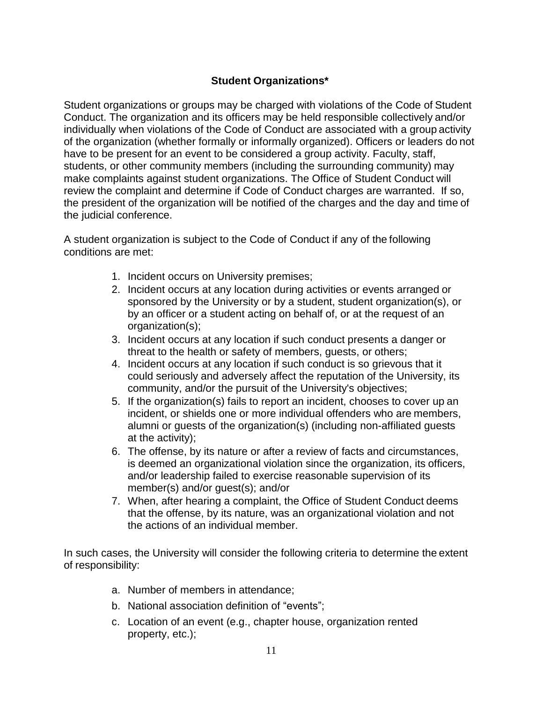# **Student Organizations\***

Student organizations or groups may be charged with violations of the Code of Student Conduct. The organization and its officers may be held responsible collectively and/or individually when violations of the Code of Conduct are associated with a group activity of the organization (whether formally or informally organized). Officers or leaders do not have to be present for an event to be considered a group activity. Faculty, staff, students, or other community members (including the surrounding community) may make complaints against student organizations. The Office of Student Conduct will review the complaint and determine if Code of Conduct charges are warranted. If so, the president of the organization will be notified of the charges and the day and time of the judicial conference.

A student organization is subject to the Code of Conduct if any of the following conditions are met:

- 1. Incident occurs on University premises;
- 2. Incident occurs at any location during activities or events arranged or sponsored by the University or by a student, student organization(s), or by an officer or a student acting on behalf of, or at the request of an organization(s);
- 3. Incident occurs at any location if such conduct presents a danger or threat to the health or safety of members, guests, or others;
- 4. Incident occurs at any location if such conduct is so grievous that it could seriously and adversely affect the reputation of the University, its community, and/or the pursuit of the University's objectives;
- 5. If the organization(s) fails to report an incident, chooses to cover up an incident, or shields one or more individual offenders who are members, alumni or guests of the organization(s) (including non-affiliated guests at the activity);
- 6. The offense, by its nature or after a review of facts and circumstances, is deemed an organizational violation since the organization, its officers, and/or leadership failed to exercise reasonable supervision of its member(s) and/or guest(s); and/or
- 7. When, after hearing a complaint, the Office of Student Conduct deems that the offense, by its nature, was an organizational violation and not the actions of an individual member.

In such cases, the University will consider the following criteria to determine the extent of responsibility:

- a. Number of members in attendance;
- b. National association definition of "events";
- c. Location of an event (e.g., chapter house, organization rented property, etc.);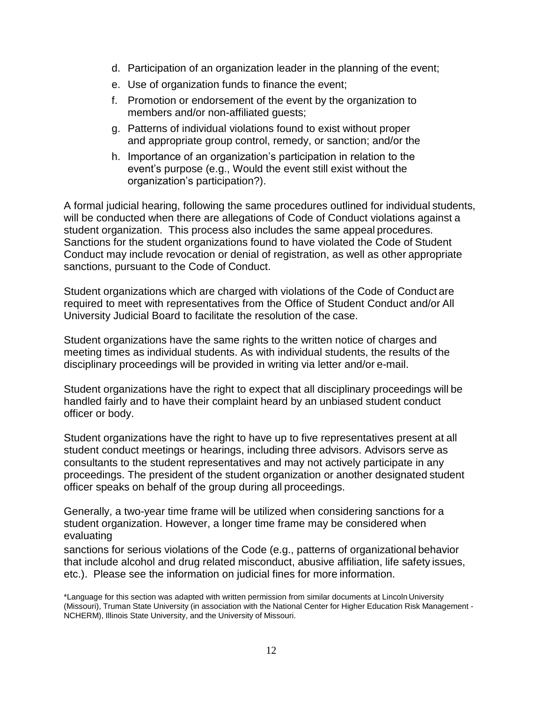- d. Participation of an organization leader in the planning of the event;
- e. Use of organization funds to finance the event;
- f. Promotion or endorsement of the event by the organization to members and/or non-affiliated guests;
- g. Patterns of individual violations found to exist without proper and appropriate group control, remedy, or sanction; and/or the
- h. Importance of an organization's participation in relation to the event's purpose (e.g., Would the event still exist without the organization's participation?).

A formal judicial hearing, following the same procedures outlined for individual students, will be conducted when there are allegations of Code of Conduct violations against a student organization. This process also includes the same appeal procedures. Sanctions for the student organizations found to have violated the Code of Student Conduct may include revocation or denial of registration, as well as other appropriate sanctions, pursuant to the Code of Conduct.

Student organizations which are charged with violations of the Code of Conduct are required to meet with representatives from the Office of Student Conduct and/or All University Judicial Board to facilitate the resolution of the case.

Student organizations have the same rights to the written notice of charges and meeting times as individual students. As with individual students, the results of the disciplinary proceedings will be provided in writing via letter and/or e-mail.

Student organizations have the right to expect that all disciplinary proceedings will be handled fairly and to have their complaint heard by an unbiased student conduct officer or body.

Student organizations have the right to have up to five representatives present at all student conduct meetings or hearings, including three advisors. Advisors serve as consultants to the student representatives and may not actively participate in any proceedings. The president of the student organization or another designated student officer speaks on behalf of the group during all proceedings.

Generally, a two-year time frame will be utilized when considering sanctions for a student organization. However, a longer time frame may be considered when evaluating

sanctions for serious violations of the Code (e.g., patterns of organizational behavior that include alcohol and drug related misconduct, abusive affiliation, life safety issues, etc.). Please see the information on judicial fines for more information.

<sup>\*</sup>Language for this section was adapted with written permission from similar documents at Lincoln University (Missouri), Truman State University (in association with the National Center for Higher Education Risk Management - NCHERM), Illinois State University, and the University of Missouri.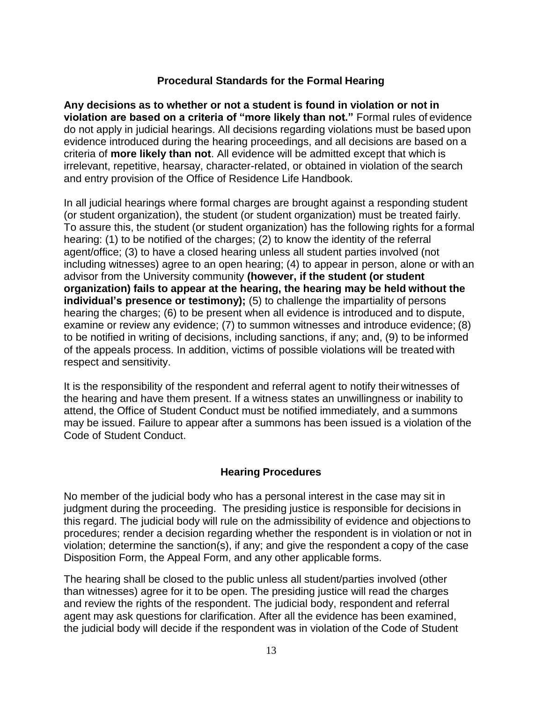#### **Procedural Standards for the Formal Hearing**

**Any decisions as to whether or not a student is found in violation or not in violation are based on a criteria of "more likely than not."** Formal rules of evidence do not apply in judicial hearings. All decisions regarding violations must be based upon evidence introduced during the hearing proceedings, and all decisions are based on a criteria of **more likely than not**. All evidence will be admitted except that which is irrelevant, repetitive, hearsay, character-related, or obtained in violation of the search and entry provision of the Office of Residence Life Handbook.

In all judicial hearings where formal charges are brought against a responding student (or student organization), the student (or student organization) must be treated fairly. To assure this, the student (or student organization) has the following rights for a formal hearing: (1) to be notified of the charges; (2) to know the identity of the referral agent/office; (3) to have a closed hearing unless all student parties involved (not including witnesses) agree to an open hearing; (4) to appear in person, alone or with an advisor from the University community **(however, if the student (or student organization) fails to appear at the hearing, the hearing may be held without the individual's presence or testimony);** (5) to challenge the impartiality of persons hearing the charges; (6) to be present when all evidence is introduced and to dispute, examine or review any evidence; (7) to summon witnesses and introduce evidence; (8) to be notified in writing of decisions, including sanctions, if any; and, (9) to be informed of the appeals process. In addition, victims of possible violations will be treated with respect and sensitivity.

It is the responsibility of the respondent and referral agent to notify their witnesses of the hearing and have them present. If a witness states an unwillingness or inability to attend, the Office of Student Conduct must be notified immediately, and a summons may be issued. Failure to appear after a summons has been issued is a violation of the Code of Student Conduct.

#### **Hearing Procedures**

<span id="page-16-0"></span>No member of the judicial body who has a personal interest in the case may sit in judgment during the proceeding. The presiding justice is responsible for decisions in this regard. The judicial body will rule on the admissibility of evidence and objections to procedures; render a decision regarding whether the respondent is in violation or not in violation; determine the sanction(s), if any; and give the respondent a copy of the case Disposition Form, the Appeal Form, and any other applicable forms.

The hearing shall be closed to the public unless all student/parties involved (other than witnesses) agree for it to be open. The presiding justice will read the charges and review the rights of the respondent. The judicial body, respondent and referral agent may ask questions for clarification. After all the evidence has been examined, the judicial body will decide if the respondent was in violation of the Code of Student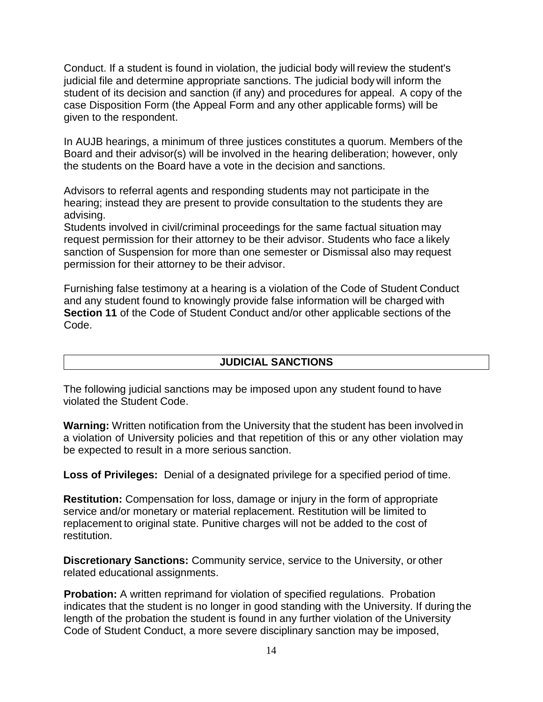Conduct. If a student is found in violation, the judicial body will review the student's judicial file and determine appropriate sanctions. The judicial body will inform the student of its decision and sanction (if any) and procedures for appeal. A copy of the case Disposition Form (the Appeal Form and any other applicable forms) will be given to the respondent.

In AUJB hearings, a minimum of three justices constitutes a quorum. Members of the Board and their advisor(s) will be involved in the hearing deliberation; however, only the students on the Board have a vote in the decision and sanctions.

Advisors to referral agents and responding students may not participate in the hearing; instead they are present to provide consultation to the students they are advising.

Students involved in civil/criminal proceedings for the same factual situation may request permission for their attorney to be their advisor. Students who face a likely sanction of Suspension for more than one semester or Dismissal also may request permission for their attorney to be their advisor.

Furnishing false testimony at a hearing is a violation of the Code of Student Conduct and any student found to knowingly provide false information will be charged with **Section 11** of the Code of Student Conduct and/or other applicable sections of the Code.

#### **JUDICIAL SANCTIONS**

The following judicial sanctions may be imposed upon any student found to have violated the Student Code.

**Warning:** Written notification from the University that the student has been involved in a violation of University policies and that repetition of this or any other violation may be expected to result in a more serious sanction.

**Loss of Privileges:** Denial of a designated privilege for a specified period of time.

**Restitution:** Compensation for loss, damage or injury in the form of appropriate service and/or monetary or material replacement. Restitution will be limited to replacement to original state. Punitive charges will not be added to the cost of restitution.

**Discretionary Sanctions:** Community service, service to the University, or other related educational assignments.

**Probation:** A written reprimand for violation of specified regulations. Probation indicates that the student is no longer in good standing with the University. If during the length of the probation the student is found in any further violation of the University Code of Student Conduct, a more severe disciplinary sanction may be imposed,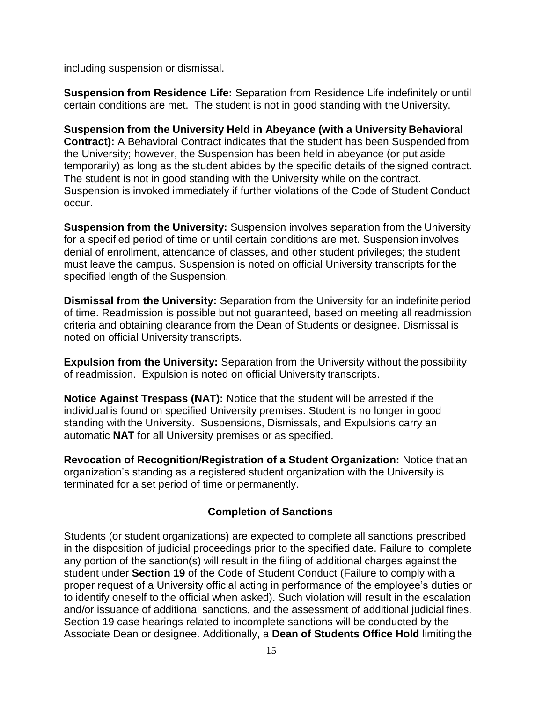including suspension or dismissal.

**Suspension from Residence Life:** Separation from Residence Life indefinitely or until certain conditions are met. The student is not in good standing with theUniversity.

**Suspension from the University Held in Abeyance (with a University Behavioral Contract):** A Behavioral Contract indicates that the student has been Suspended from the University; however, the Suspension has been held in abeyance (or put aside temporarily) as long as the student abides by the specific details of the signed contract. The student is not in good standing with the University while on the contract. Suspension is invoked immediately if further violations of the Code of Student Conduct occur.

**Suspension from the University:** Suspension involves separation from the University for a specified period of time or until certain conditions are met. Suspension involves denial of enrollment, attendance of classes, and other student privileges; the student must leave the campus. Suspension is noted on official University transcripts for the specified length of the Suspension.

**Dismissal from the University:** Separation from the University for an indefinite period of time. Readmission is possible but not guaranteed, based on meeting all readmission criteria and obtaining clearance from the Dean of Students or designee. Dismissal is noted on official University transcripts.

**Expulsion from the University:** Separation from the University without the possibility of readmission. Expulsion is noted on official University transcripts.

**Notice Against Trespass (NAT):** Notice that the student will be arrested if the individual is found on specified University premises. Student is no longer in good standing with the University. Suspensions, Dismissals, and Expulsions carry an automatic **NAT** for all University premises or as specified.

**Revocation of Recognition/Registration of a Student Organization:** Notice that an organization's standing as a registered student organization with the University is terminated for a set period of time or permanently.

# **Completion of Sanctions**

Students (or student organizations) are expected to complete all sanctions prescribed in the disposition of judicial proceedings prior to the specified date. Failure to complete any portion of the sanction(s) will result in the filing of additional charges against the student under **Section 19** of the Code of Student Conduct (Failure to comply with a proper request of a University official acting in performance of the employee's duties or to identify oneself to the official when asked). Such violation will result in the escalation and/or issuance of additional sanctions, and the assessment of additional judicial fines. Section 19 case hearings related to incomplete sanctions will be conducted by the Associate Dean or designee. Additionally, a **Dean of Students Office Hold** limiting the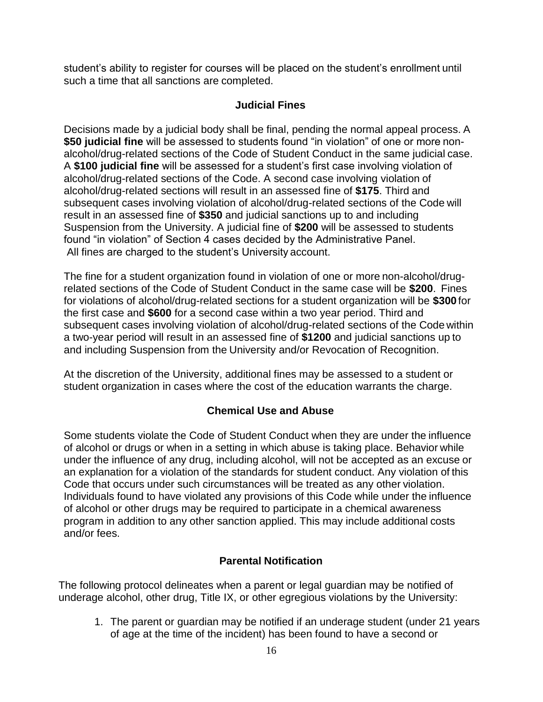student's ability to register for courses will be placed on the student's enrollment until such a time that all sanctions are completed.

#### **Judicial Fines**

Decisions made by a judicial body shall be final, pending the normal appeal process. A **\$50 judicial fine** will be assessed to students found "in violation" of one or more nonalcohol/drug-related sections of the Code of Student Conduct in the same judicial case. A **\$100 judicial fine** will be assessed for a student's first case involving violation of alcohol/drug-related sections of the Code. A second case involving violation of alcohol/drug-related sections will result in an assessed fine of **\$175**. Third and subsequent cases involving violation of alcohol/drug-related sections of the Code will result in an assessed fine of **\$350** and judicial sanctions up to and including Suspension from the University. A judicial fine of **\$200** will be assessed to students found "in violation" of Section 4 cases decided by the Administrative Panel. All fines are charged to the student's University account.

The fine for a student organization found in violation of one or more non-alcohol/drugrelated sections of the Code of Student Conduct in the same case will be **\$200**. Fines for violations of alcohol/drug-related sections for a student organization will be **\$300** for the first case and **\$600** for a second case within a two year period. Third and subsequent cases involving violation of alcohol/drug-related sections of the Code within a two-year period will result in an assessed fine of **\$1200** and judicial sanctions up to and including Suspension from the University and/or Revocation of Recognition.

At the discretion of the University, additional fines may be assessed to a student or student organization in cases where the cost of the education warrants the charge.

# **Chemical Use and Abuse**

Some students violate the Code of Student Conduct when they are under the influence of alcohol or drugs or when in a setting in which abuse is taking place. Behavior while under the influence of any drug, including alcohol, will not be accepted as an excuse or an explanation for a violation of the standards for student conduct. Any violation of this Code that occurs under such circumstances will be treated as any other violation. Individuals found to have violated any provisions of this Code while under the influence of alcohol or other drugs may be required to participate in a chemical awareness program in addition to any other sanction applied. This may include additional costs and/or fees.

# **Parental Notification**

The following protocol delineates when a parent or legal guardian may be notified of underage alcohol, other drug, Title IX, or other egregious violations by the University:

1. The parent or guardian may be notified if an underage student (under 21 years of age at the time of the incident) has been found to have a second or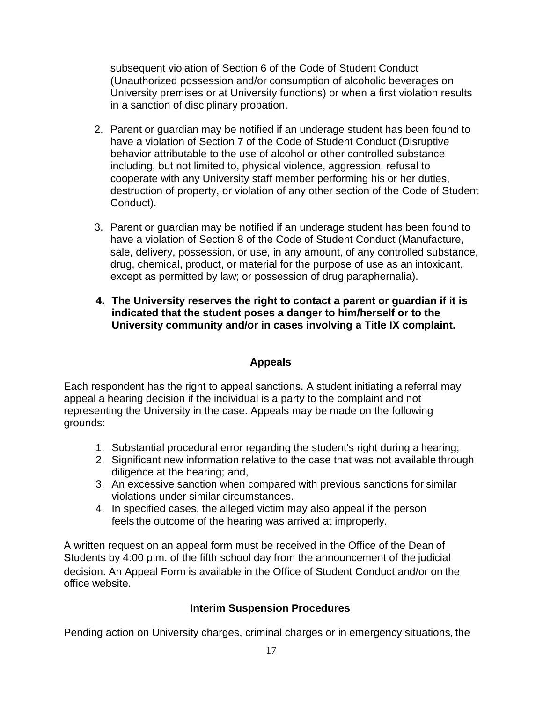subsequent violation of Section 6 of the Code of Student Conduct (Unauthorized possession and/or consumption of alcoholic beverages on University premises or at University functions) or when a first violation results in a sanction of disciplinary probation.

- 2. Parent or guardian may be notified if an underage student has been found to have a violation of Section 7 of the Code of Student Conduct (Disruptive behavior attributable to the use of alcohol or other controlled substance including, but not limited to, physical violence, aggression, refusal to cooperate with any University staff member performing his or her duties, destruction of property, or violation of any other section of the Code of Student Conduct).
- 3. Parent or guardian may be notified if an underage student has been found to have a violation of Section 8 of the Code of Student Conduct (Manufacture, sale, delivery, possession, or use, in any amount, of any controlled substance, drug, chemical, product, or material for the purpose of use as an intoxicant, except as permitted by law; or possession of drug paraphernalia).
- **4. The University reserves the right to contact a parent or guardian if it is indicated that the student poses a danger to him/herself or to the University community and/or in cases involving a Title IX complaint.**

# **Appeals**

Each respondent has the right to appeal sanctions. A student initiating a referral may appeal a hearing decision if the individual is a party to the complaint and not representing the University in the case. Appeals may be made on the following grounds:

- 1. Substantial procedural error regarding the student's right during a hearing;
- 2. Significant new information relative to the case that was not available through diligence at the hearing; and,
- 3. An excessive sanction when compared with previous sanctions for similar violations under similar circumstances.
- 4. In specified cases, the alleged victim may also appeal if the person feels the outcome of the hearing was arrived at improperly.

A written request on an appeal form must be received in the Office of the Dean of Students by 4:00 p.m. of the fifth school day from the announcement of the judicial decision. An Appeal Form is available in the Office of Student Conduct and/or on the office website.

# **Interim Suspension Procedures**

Pending action on University charges, criminal charges or in emergency situations, the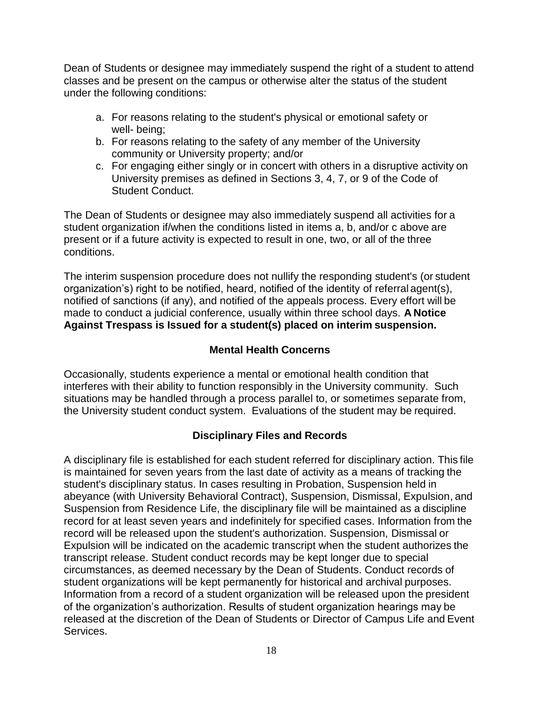Dean of Students or designee may immediately suspend the right of a student to attend classes and be present on the campus or otherwise alter the status of the student under the following conditions:

- a. For reasons relating to the student's physical or emotional safety or well- being;
- b. For reasons relating to the safety of any member of the University community or University property; and/or
- c. For engaging either singly or in concert with others in a disruptive activity on University premises as defined in Sections 3, 4, 7, or 9 of the Code of Student Conduct.

The Dean of Students or designee may also immediately suspend all activities for a student organization if/when the conditions listed in items a, b, and/or c above are present or if a future activity is expected to result in one, two, or all of the three conditions.

The interim suspension procedure does not nullify the responding student's (or student organization's) right to be notified, heard, notified of the identity of referral agent(s), notified of sanctions (if any), and notified of the appeals process. Every effort will be made to conduct a judicial conference, usually within three school days. **A Notice Against Trespass is Issued for a student(s) placed on interim suspension.**

# **Mental Health Concerns**

Occasionally, students experience a mental or emotional health condition that interferes with their ability to function responsibly in the University community. Such situations may be handled through a process parallel to, or sometimes separate from, the University student conduct system. Evaluations of the student may be required.

# **Disciplinary Files and Records**

A disciplinary file is established for each student referred for disciplinary action. This file is maintained for seven years from the last date of activity as a means of tracking the student's disciplinary status. In cases resulting in Probation, Suspension held in abeyance (with University Behavioral Contract), Suspension, Dismissal, Expulsion, and Suspension from Residence Life, the disciplinary file will be maintained as a discipline record for at least seven years and indefinitely for specified cases. Information from the record will be released upon the student's authorization. Suspension, Dismissal or Expulsion will be indicated on the academic transcript when the student authorizes the transcript release. Student conduct records may be kept longer due to special circumstances, as deemed necessary by the Dean of Students. Conduct records of student organizations will be kept permanently for historical and archival purposes. Information from a record of a student organization will be released upon the president of the organization's authorization. Results of student organization hearings may be released at the discretion of the Dean of Students or Director of Campus Life and Event Services.